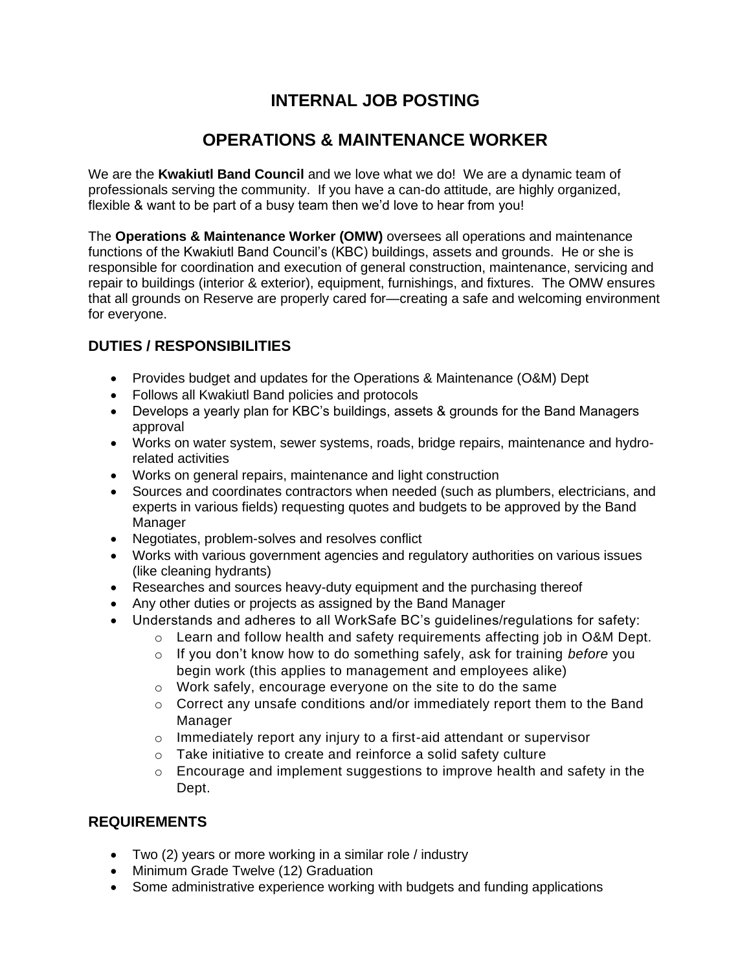## **INTERNAL JOB POSTING**

## **OPERATIONS & MAINTENANCE WORKER**

We are the **Kwakiutl Band Council** and we love what we do! We are a dynamic team of professionals serving the community. If you have a can-do attitude, are highly organized, flexible & want to be part of a busy team then we'd love to hear from you!

The **Operations & Maintenance Worker (OMW)** oversees all operations and maintenance functions of the Kwakiutl Band Council's (KBC) buildings, assets and grounds. He or she is responsible for coordination and execution of general construction, maintenance, servicing and repair to buildings (interior & exterior), equipment, furnishings, and fixtures. The OMW ensures that all grounds on Reserve are properly cared for—creating a safe and welcoming environment for everyone.

## **DUTIES / RESPONSIBILITIES**

- Provides budget and updates for the Operations & Maintenance (O&M) Dept
- Follows all Kwakiutl Band policies and protocols
- Develops a yearly plan for KBC's buildings, assets & grounds for the Band Managers approval
- Works on water system, sewer systems, roads, bridge repairs, maintenance and hydrorelated activities
- Works on general repairs, maintenance and light construction
- Sources and coordinates contractors when needed (such as plumbers, electricians, and experts in various fields) requesting quotes and budgets to be approved by the Band Manager
- Negotiates, problem-solves and resolves conflict
- Works with various government agencies and regulatory authorities on various issues (like cleaning hydrants)
- Researches and sources heavy-duty equipment and the purchasing thereof
- Any other duties or projects as assigned by the Band Manager
- Understands and adheres to all WorkSafe BC's guidelines/regulations for safety:
	- o Learn and follow health and safety requirements affecting job in O&M Dept.
		- o If you don't know how to do something safely, ask for training *before* you begin work (this applies to management and employees alike)
		- o Work safely, encourage everyone on the site to do the same
		- $\circ$  Correct any unsafe conditions and/or immediately report them to the Band Manager
		- o Immediately report any injury to a first-aid attendant or supervisor
		- o Take initiative to create and reinforce a solid safety culture
		- $\circ$  Encourage and implement suggestions to improve health and safety in the Dept.

## **REQUIREMENTS**

- Two (2) years or more working in a similar role / industry
- Minimum Grade Twelve (12) Graduation
- Some administrative experience working with budgets and funding applications